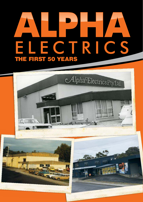# **THE FIRST 50 YEARS** ELECTRICS THE FIRST 50 YEARS

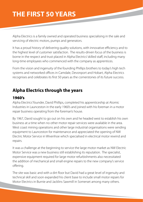Alpha Electrics is a family owned and operated business specialising in the sale and servicing of electric motors, pumps and generators.

It has a proud history of delivering quality solutions, with innovative efficiency and to the highest level of customer satisfaction. The results-driven focus of the business is borne in the respect and trust placed in Alpha Electrics' skilled staff, including many long-time employees who commenced with the company as apprentices.

From the vision and ingenuity of the founding Phillips brothers to today's high tech systems and networked offices in Camdale, Devonport and Hobart, Alpha Electrics recognises and celebrates its first 50 years as the cornerstones of its future success.

#### **Alpha Electrics through the years**

#### 1960's

Alpha Electrics' founder, David Phillips, completed his apprenticeship at Atomic Industries in Launceston in the early 1960's and joined with his foreman in a motor repair business operating from the foreman's house.

By 1967, David sought to go out on his own and he headed west to establish his own business at a time when no other motor repair services were available in the area. West coast mining operations and other large industrial organisations were sending equipment to Launceston for maintenance and appreciated the opening of NW Electric Motor Service in Wivenhoe which specialised in electrical motor rewind and repairs.

It was a challenge at the beginning to service the large motor market as NW Electric Motor Service was a new business still establishing its reputation. The specialist, expensive equipment required for large motor refurbishments also necessitated the addition of mechanical and small engine repairs to the new company's service offering.

The site was basic and with a dirt floor but David had a great level of ingenuity and technical skill and soon expanded his client base to include small motor repairs for Motor Electrics in Burnie and Jacklins Sawmill in Somerset among many others.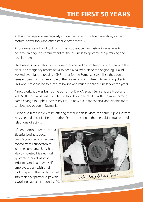At this time, repairs were regularly conducted on automotive generators, starter motors, power tools and other small electric motors.

As business grew, David took on his first apprentice, Tim Easton, in what was to become an ongoing commitment for the business to apprenticeship training and development.

The business's reputation for customer service and commitment to 'work around the clock' on emergency repairs has also been a hallmark since the beginning. David worked overnight to repair a 40HP motor for the Somerset sawmill so they could remain operating in an example of the business's commitment to servicing clients. This work ethic has led to a loyal following and much repeat business over the years.

A new workshop was built at the bottom of David's South Burnie house block and in 1969 the business was relocated to this Devon Street site. With the move came a name change to Alpha Electrics Pty Ltd – a new era in mechanical and electric motor services had begun in Tasmania.

As the first in the region to be offering motor repair services, the name Alpha Electrics was selected to capitalise on another first – the listing in the then ubiquitous printed telephone directory.

Fifteen months after the Alpha Electrics business began, David's younger brother Barry moved from Launceston to join the company. Barry had also completed his electrical apprenticeship at Atomic Industries and had been selfemployed, busy with small motor repairs. The pair launched into their new partnerships with a working capital of around \$100.

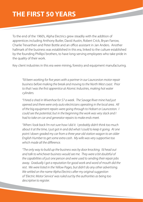To the end of the 1960's, Alpha Electrics grew steadily with the addition of apprentices including Anthony Butler, David Austin, Robert Crick, Bryan Farrow, Charlie Trevarthen and Peter Bottle and an office assistant in Jan Anders. Another hallmark of the business was established in this era, linked to the culture established by the founding Phillips' brothers, to have long-serving employees who take pride in the quality of their work.

Key client industries in this era were mining, forestry and equipment manufacturing.

"I'd been working for five years with a partner in our Launceston motor repair business before making the break and moving to the North West coast. Prior to that I was the first apprentice at Atomic Industries, making hot water cylinders.

"I hired a shed in Wivenhoe for \$7 a week. The Savage River mine had just opened and there were only auto electricians operating in the local area. All of the big equipment repairs were going through to Hobart or Launceston. I could see the potential, but in the beginning the work was very slack and I had to take on car and generator repairs to make ends meet.

"When I look back I'm not sure how I did it. I probably didn't think too much about it at the time, I just got in and did what I could to keep it going. At one point I down-graded my car from a three year old station wagon to an older English Humber to get some extra cash. My wife was very supportive too which made all the difference.

"The only way to build up the business was by door knocking. I'd head out and talk to whichever business would see me. They were a bit doubtful of the capabilities of just one person and were used to sending their repair jobs away. Gradually I got a reputation for good work and word of mouth did the rest. We were listed in the Yellow Pages, but didn't do any other advertising. We settled on the name Alpha Electrics after my original suggestion of 'Electric Motor Service' was ruled out by the authorities as being too descriptive to register.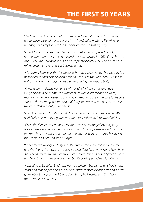"We began working on irrigation pumps and sawmill motors. It was pretty desperate in the beginning. I called in on Roy Dudley at Motor Electrics; he probably saved my life with the small motor jobs he sent my way.

"After 12 months on my own, I put on Tim Easton as an apprentice. My brother then came over to join the business as a partner in 1969. Over the next 4 to 5 years we were able to put on an apprentice every year. The West Coast mines became a big source of business for us.

"My brother Barry was the driving force; he had a vision for the business and so he took on the business development side and I ran the workshop. We got on well and worked well together as a team, sharing the responsibility.

"It was a pretty relaxed workplace with a fair bit of colourful language. Everyone had a nickname. We worked hard with overtime and Saturday mornings when we needed to and would respond to customer calls for help at 3 or 4 in the morning, but we also took long lunches at the Top of the Town if there wasn't an urgent job on the go.

"It felt like a second family; we didn't have many friends outside of work. We held Christmas parties together and went to the Pieman four-wheel driving.

"Given the different conditions back then, we also managed to be a pretty accident-free workplace. I recall one incident, though, where Robert Crick the foreman broke his wrist and that got us in trouble with his mother because he was an up-and-coming tennis player.

"Over time we were given large jobs that were previously sent to Melbourne and that led to the move to the bigger site at Camdale. We designed and built a coil extractor to strip the coils from old motors. It was a rugged piece of gear and I don't think it was ever patented but it certainly saved us a lot of time.

"A meeting of Electrical Engineers from all different businesses was held on the coast and that helped boost the business further, because one of the engineers spoke about the good work being done by Alpha Electrics and that led to more enquiries and work.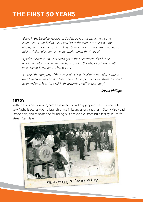"Being in the Electrical Apparatus Society gave us access to new, better equipment. I travelled to the United States three times to check out the displays and we ended up installing a burnout oven. There was about half a million dollars of equipment in the workshop by the time I left.

"I prefer the hands-on work and it got to the point where I'd rather be repairing motors than worrying about running the whole business. That's when I knew it was time to hand it on.

"I missed the company of the people after I left. I still drive past places where I used to work on motors and I think about time spent servicing them. It's good to know Alpha Electrics is still in there making a difference today."

#### **David Phillips**

#### 1970's

With the business growth, came the need to find bigger premises. This decade saw Alpha Electrics open a branch office in Launceston, another in Stony Rise Road Devonport, and relocate the founding business to a custom built facility in Scarfe Street, Camdale.

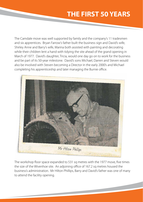The Camdale move was well supported by family and the company's 11 tradesmen and six apprentices. Bryan Farrow's father built the business sign and David's wife, Shirley Anne and Barry's wife, Marina both assisted with painting and decorating while their children lent a hand with tidying the site ahead of the grand opening in March of 1977. David's daughter, Tricia, would one day go on to work for the business and be part of its 50-year milestone. David's sons Michael, Darren and Steven would also be involved with Steven becoming a Director in the early 2000's and Michael completing his apprenticeship and later managing the Burnie office.



The workshop floor space expanded to 531 sq metres with the 1977 move, five times the size of the Wivenhoe site. An adjoining office of 167.2 sq metres housed the business's administration. Mr Hilton Phillips, Barry and David's father was one of many to attend the facility opening.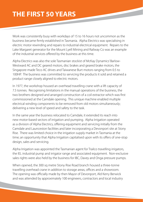Work was consistently busy with workdays of 15 to 16 hours not uncommon as the business became firmly established in Tasmania. Alpha Electrics was specialising in electric motor rewinding and repairs to industrial electrical equipment. Repairs to the Lake Margaret generator for the Mount Lyell Mining and Railway Co was an example of the industrial services offered by the business at this time.

Alpha Electrics was also the sole Tasmanian stockist of McKay Dynamics' Barlow-Westward AC and DC geared motors, disc brakes and geared brake motors, the Singapore-made Teco AC drives and Taiwanese Burt motors ranging from 0.5 to 100HP. The business was committed to servicing the products it sold and retained a product range closely aligned to electric motors.

In 1977, the workshop housed an overhead travelling crane with a lift capacity of 7.5 tonnes. Recognising limitations in the manual operations of the business, the two brothers designed and arranged construction of a coil extractor which was first commissioned at the Camdale opening. This unique machine enabled multiple electrical winding components to be removed from old motors simultaneously; delivering a new level of speed and safety to the task.

In the same year the business relocated to Camdale, it extended its reach into new motor-based sectors of irrigation and pumping. Alpha Irrigation operated as a division of Alpha Electrics, offering equipment and servicing initially from the Camdale and Launceston facilities and later incorporating a Devonport site at Stony Rise. There was limited choice in the irrigation supply market in Tasmania at the time; an opportunity that Alpha Irrigation capitalised upon with its offers of one-stop design, sales and servicing.

Alpha Irrigation was appointed the Tasmanian agent for Trailco travelling irrigators, the IEL industrial pump and irrigator range and associated equipment. Non-exclusive sales rights were also held by the business for IBC, Davey and Onga pressure pumps.

When opened, the 300 sq metre Stony Rise Road branch housed a three-tonne travelling overhead crane in addition to storage areas, offices and a showroom. The opening was officially made by then Mayor of Devonport, Ald Kerry Berwick and was attended by approximately 100 engineers, contractors and local industry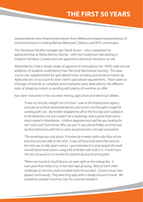representatives who heard presentations from Melbourne-based representatives of stocked products including Barlow-Westward, Delairco and MTE control gear.

The Devonport facility manager was David Austin – who completed his apprenticeship at Alpha Electrics Burnie - with one tradesman specialising in irrigation (Andrew Cooper) and one apprentice electrical mechanic on site.

Alpha Electrics had a steady intake of apprentices throughout the 1970's, with annual additions of students undertaking their Electrical Mechanical training. This base course was supplemented by specialised motor winding and armature tuition by Alpha Electrics to account for their client's specialised requirements. There were no shortage of rewinds to complete and employees were dedicated to the different tasks of stripping motors or winding with plenty of overtime on offer.

Key client industries in this era were mining, agriculture and electrical utilities.

"It was my first job, straight out of school. I was at the employment agency and saw an ad that mentioned electric and motors and thought it might be working with cars. My brother dropped me off on the first day and I walked in to the Wivenhoe site, but couldn't see a workshop, only a gravel track with a shed covered in blackberries. A fellow appeared and said 'Are you looking for me?' and I said 'Don't know. Who are you?' It was David Phillips and that was my first interaction with him in what would become a 50-year association.

"The workshop was only about 10 metres by 4 metres with a dirt floor at one end and concrete slab at the other. It was all hand tools back then and my first task was to take apart motors. I got interested in it and enjoyed the work. I would hand wind motors using a bit of timber with nails in it. It took hours. The site cat would sit on my feet for warmth during those long jobs.

"When we moved to South Burnie, we were right on the railway line. It soon grew from three of us, to five then kept growing. We'd set each other challenges to see who could complete tasks the quickest. Country music was played continuously. They were long days with a steady amount of work. We sometimes worked Christmas Day if a customer needed it.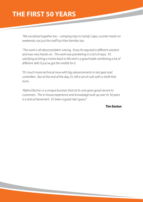"We socialised together too – camping trips to Sandy Cape, counter meals on weekends; not just the staff but their families too.

"The work is all about problem solving. Every fix required a different solution and was very hands-on. The work was pioneering in a lot of ways. It's satisfying to bring a motor back to life and is a good trade combining a lot of different skills if you've got the mettle for it.

"It's much more technical now with big advancements in test gear and controllers. But at the end of the day, it's still a set of coils with a shaft that turns.

"Alpha Electrics is a unique business that at its core gives good service to customers. The in-house experience and knowledge built up over its 50 years is a real achievement. It's been a good ride I guess."

 **Tim Easton**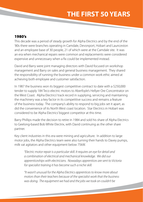#### 1980's

This decade was a period of steady growth for Alpha Electrics and by the end of the '80s there were branches operating in Camdale, Devonport, Hobart and Launceston and an employee base of 30 people, 21 of which were at the Camdale site. It was an era when mechanical repairs were common and replacements were considered expensive and unnecessary when a fix could be implemented instead.

David and Barry were joint managing directors with David focused on workshop management and Barry on sales and general business management. They shared the responsibility of running the business under a common work ethic aimed at achieving both employee and customer satisfaction.

In 1987 the business won its biggest competitive contract to date with a \$250,000 tender to supply 184 Teco electric motors to Aberfoyle's Hellyer Ore Concentrator on the West Coast. Alpha Electrics' track record in supplying, servicing and maintaining the machinery was a key factor in its competitive success and remains a feature of the business today. The company's ability to respond to big jobs set it apart, as did the convenience of its North West coast location. Star Electrics in Hobart was considered to be Alpha Electrics' biggest competitor at this time.

Barry Phillips made the decision to retire in 1984 and sold his share of Alpha Electrics to Geelong-based Bob White Electrix, with David continuing as the other share partner.

Key client industries in this era were mining and agriculture. In addition to large motor jobs, the Alpha Electrics team were also turning their hands to Davey pumps, milk vat agitators and other equipment below 75kW.

"Electric motor repair is a particular skill. It requires an eye for detail and a combination of electrical and mechanical knowledge. We did our apprenticeships with electricians. Nowadays apprentices are sent to Victoria for specialist training it has become such a niche skill.

"It wasn't unusual for the Alpha Electrics apprentices to know more about motors than their teachers because of the specialist work that the business was doing. The equipment we had and the jobs we took on couldn't be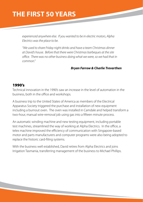experienced anywhere else. If you wanted to be in electric motors, Alpha Electrics was the place to be.

"We used to share Friday night drinks and have a team Christmas dinner at David's house. Before that there were Christmas barbeques at the site office. There was no other business doing what we were, so we had that in common."

#### **Bryan Farrow & Charlie Trevarthen**

#### 1990's

Technical innovation in the 1990's saw an increase in the level of automation in the business, both in the office and workshops.

A business trip to the United States of America as members of the Electrical Apparatus Society triggered the purchase and installation of new equipment including a burnout oven. The oven was installed in Camdale and helped transform a two-hour, manual wire-removal job using gas into a fifteen minute process.

An automatic winding machine and new testing equipment, including portable test machines, streamlined the way of working at Alpha Electrics. In the office, a telex machine improved the efficiency of communication with Singapore-based motor and parts manufacturers and computer programs were also being adopted to replace the historic card-filing systems.

With the business well established, David retires from Alpha Electrics and joins Irrigation Tasmania, transferring management of the business to Michael Phillips.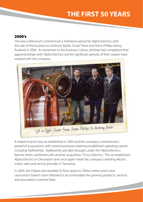#### 2000's

The new millennium commenced a milestone period for Alpha Electrics with the sale of the business to Anthony Butler, Stuart Paine and Steve Phillips being finalised in 2004. As testament to the business culture, all three had completed their apprenticeships with Alpha Electrics and for significant periods of their careers have worked with the company.



A Hobart branch was re-established in 2003 and the company commenced a period of acquisitions, with some businesses retaining established operating names including TasRewinds. TasRewinds was later brought under the Alpha Electrics banner when combined with another acquisition, Timco Electrics. This re-established Alpha Electrics in Devonport and once again made the company a leading electric motor sales and service provider in Tasmania.

In 2005, the Hobart site doubled its floor space to 700sq metres and a new Launceston branch soon followed to accommodate the growing products, services and associated customer base.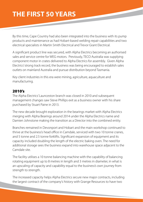By this time, Cape Country had also been integrated into the business with its pump products and maintenance as had Hobart-based welding repair capabilities and two electrical specialists in Martin Smith Electrical and Trevor Grant Electrical.

A significant product line was secured, with Alpha Electrics becoming an authorised sales and service centre for WEG motors. Previously, TECO Australia was supplying component motor in crates delivered to Alpha Electrics for assembly. Given Alpha Electrics' strong track record, the business was being encouraged to establish sales outlets on mainland Australia and pursue distribution beyond Tasmania.

Key client industries in this era were mining, agriculture, aquaculture and manufacturing.

#### 2010's

The Alpha Electrics' Launceston branch was closed in 2010 and subsequent management changes saw Steve Phillips exit as a business owner with his share purchased by Stuart Paine in 2013.

The new decade brought exploration in the bearings market with Alpha Electrics merging with Alpha Bearings around 2014 under the Alpha Electrics name and Damien Johnstone making the transition as a Director into the combined entity.

Branches remained in Devonport and Hobart and the main workshop continued to thrive at the business's head office in Camdale, serviced with two 10 tonne cranes, and 5 tonne and 2.5 tonne forklifts. Significant expansion of equipment and its capacity included doubling the length of the electric baking oven. The need for additional storage sees the business expand into warehouse space adjacent to the Camdale site.

The facility utilises a 10 tonne balancing machine with the capability of balancing rotating equipment up to 8 metres in length and 3 metres in diameter, in what is an upscaling of capacity and capability equal to the business's own journey from strength to strength.

The increased capacity helps Alpha Electrics secure new major contracts, including the largest contract of the company's history with Grange Resources to have two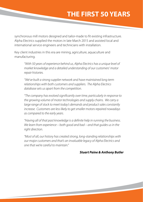synchronous mill motors designed and tailor-made to fit existing infrastructure. Alpha Electrics supplied the motors in late March 2015 and assisted local and international service engineers and technicians with installation.

Key client industries in this era are mining, agriculture, aquaculture and manufacturing.

"With 50 years of experience behind us, Alpha Electrics has a unique level of market knowledge and a detailed understanding of our customers' motor repair histories.

"We've built a strong supplier network and have maintained long term relationships with both customers and suppliers. The Alpha Electrics database sets us apart from the competition.

"The company has evolved significantly over time, particularly in response to the growing volume of motor technologies and supply chains. We carry a large range of stock to meet today's demands and product sales constantly increase. Customers are less likely to get smaller motors repaired nowadays as compared to the early years.

"Having all of that past knowledge is a definite help in running the business. We learn from experience – both good and bad – and that guides us in the right direction.

"Most of all, our history has created strong, long-standing relationships with our major customers and that's an invaluable legacy of Alpha Electrics and one that we're careful to maintain."

#### **Stuart Paine & Anthony Butler**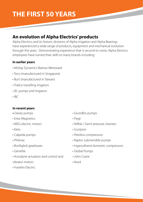#### **An evolution of Alpha Electrics' products**

Alpha Electrics and its historic divisions of Alpha Irrigation and Alpha Bearings have experienced a wide range of products, equipment and mechanical evolution through the years. Demonstrating experience that is second-to-none, Alpha Electrics employees have turned their skills to many brands including:

#### **In earlier years**

- McKay Dynamics' Barlow-Westward
- Teco (manufactured in Singapore)
- Burt (manufactured in Taiwan)
- Trailco travelling irrigators
- IEL pumps and irrigators
- $\cdot$  IRC

#### **In recent years**

- Davey pumps
- Eriez Magnetics
- WEG electric motors
- Keto
- Calpeda pumps
- Philmac
- Bonfiglioli gearboxes
- Genelite
- Acrodyne actuation and control and vibrator motors
- Franklin Electric
- Grundfos pumps
- Flygt
- Nilfisk / Gerni pressure cleaners
- Scorpion
- Peerless compressors
- Raptor submersible pumps
- Ingersollrand domestic compressors
- Global Pumps
- John Crane
- Nord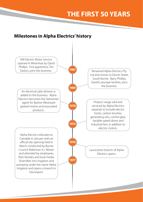#### **Milestones in Alpha Electrics' history**

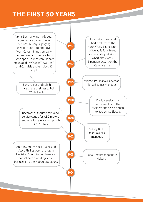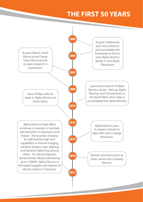